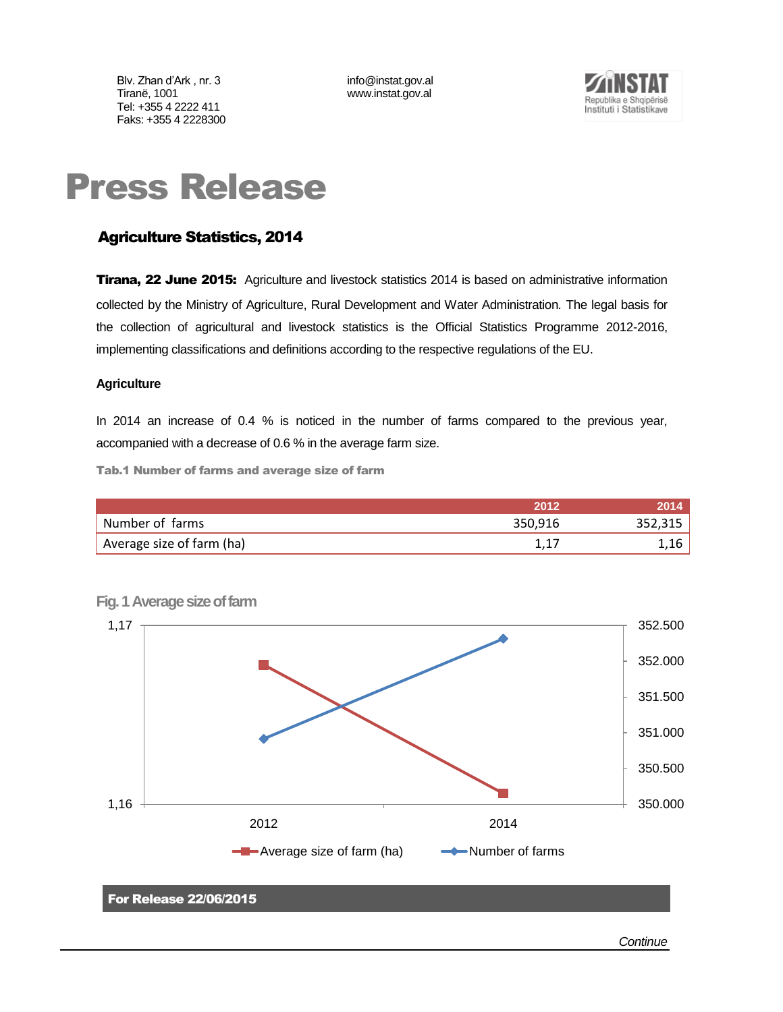Blv. Zhan d'Ark, nr. 3 [info@instat.gov.al](mailto:info@instat.gov.al) Tiranë, 1001 www.instat.gov.al Tel: +355 4 2222 411 Faks: +355 4 2228300



# Press Release

# Agriculture Statistics, 2014

**Tirana, 22 June 2015:** Agriculture and livestock statistics 2014 is based on administrative information collected by the Ministry of Agriculture, Rural Development and Water Administration*.* The legal basis for the collection of agricultural and livestock statistics is the Official Statistics Programme 2012-2016, implementing classifications and definitions according to the respective regulations of the EU.

### **Agriculture**

In 2014 an increase of 0.4 % is noticed in the number of farms compared to the previous year, accompanied with a decrease of 0.6 % in the average farm size.

Tab.1 Number of farms and average size of farm

|                           | 2012    |         |
|---------------------------|---------|---------|
| Number of farms           | 350,916 | 352,315 |
| Average size of farm (ha) |         | 1,16    |



**Fig. 1 Average size of farm**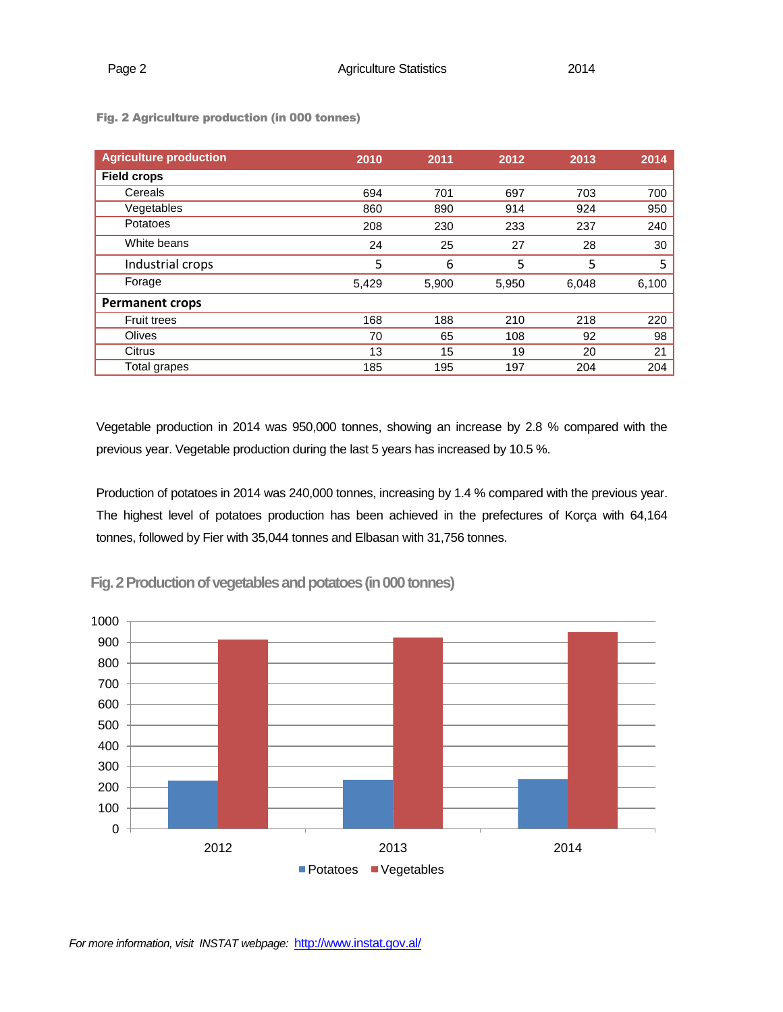| <b>Agriculture production</b> | 2010  | 2011  | 2012  | 2013  | 2014  |
|-------------------------------|-------|-------|-------|-------|-------|
| <b>Field crops</b>            |       |       |       |       |       |
| Cereals                       | 694   | 701   | 697   | 703   | 700   |
| Vegetables                    | 860   | 890   | 914   | 924   | 950   |
| Potatoes                      | 208   | 230   | 233   | 237   | 240   |
| White beans                   | 24    | 25    | 27    | 28    | 30    |
| Industrial crops              | 5     | 6     | 5     | 5     | 5     |
| Forage                        | 5,429 | 5,900 | 5,950 | 6,048 | 6,100 |
| <b>Permanent crops</b>        |       |       |       |       |       |
| <b>Fruit trees</b>            | 168   | 188   | 210   | 218   | 220   |
| Olives                        | 70    | 65    | 108   | 92    | 98    |
| Citrus                        | 13    | 15    | 19    | 20    | 21    |
| Total grapes                  | 185   | 195   | 197   | 204   | 204   |

Fig. 2 Agriculture production (in 000 tonnes)

Vegetable production in 2014 was 950,000 tonnes, showing an increase by 2.8 % compared with the previous year. Vegetable production during the last 5 years has increased by 10.5 %.

Production of potatoes in 2014 was 240,000 tonnes, increasing by 1.4 % compared with the previous year. The highest level of potatoes production has been achieved in the prefectures of Korça with 64,164 tonnes, followed by Fier with 35,044 tonnes and Elbasan with 31,756 tonnes.



**Fig. 2 Production of vegetables and potatoes (in 000 tonnes)**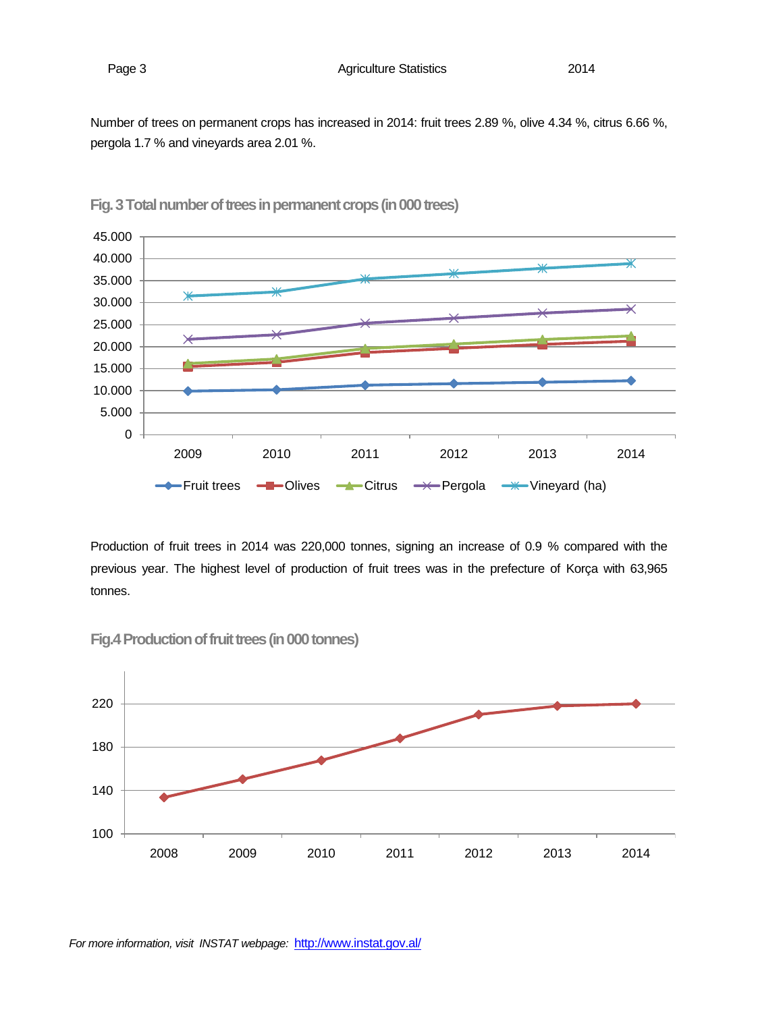Number of trees on permanent crops has increased in 2014: fruit trees 2.89 %, olive 4.34 %, citrus 6.66 %, pergola 1.7 % and vineyards area 2.01 %.



**Fig. 3 Total number of trees in permanent crops (in 000 trees)** 

Production of fruit trees in 2014 was 220,000 tonnes, signing an increase of 0.9 % compared with the previous year. The highest level of production of fruit trees was in the prefecture of Korça with 63,965 tonnes.



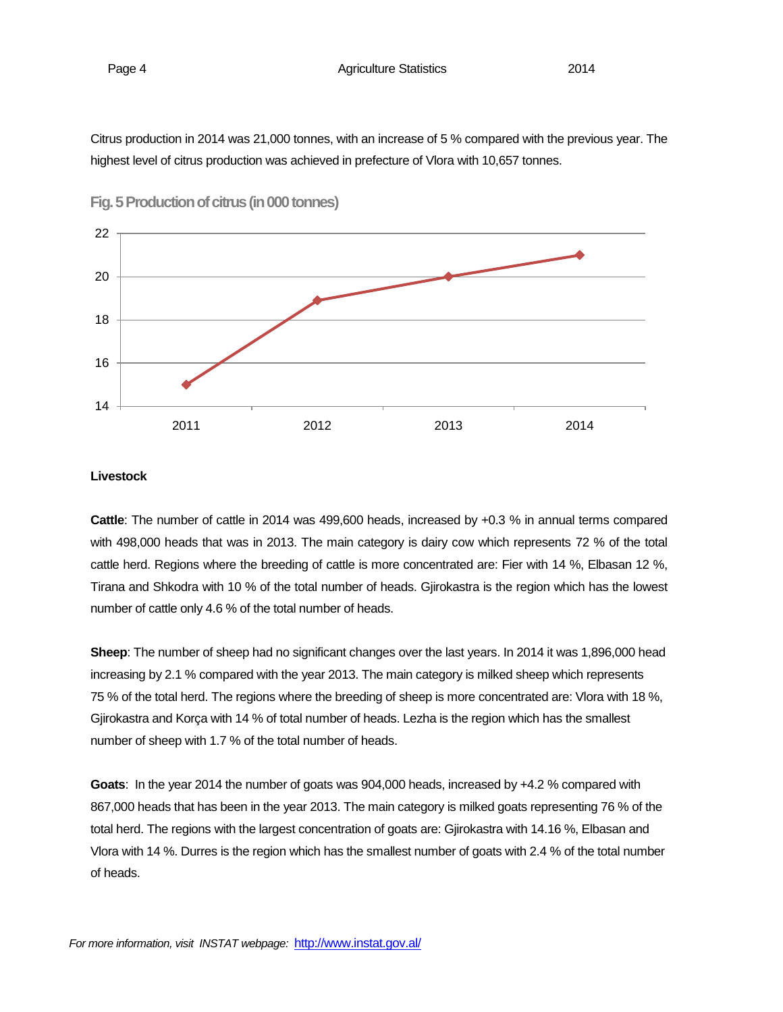Citrus production in 2014 was 21,000 tonnes, with an increase of 5 % compared with the previous year. The highest level of citrus production was achieved in prefecture of Vlora with 10,657 tonnes.



**Fig. 5 Production of citrus (in 000 tonnes)**

#### **Livestock**

**Cattle**: The number of cattle in 2014 was 499,600 heads, increased by +0.3 % in annual terms compared with 498,000 heads that was in 2013. The main category is dairy cow which represents 72 % of the total cattle herd. Regions where the breeding of cattle is more concentrated are: Fier with 14 %, Elbasan 12 %, Tirana and Shkodra with 10 % of the total number of heads. Gjirokastra is the region which has the lowest number of cattle only 4.6 % of the total number of heads.

**Sheep**: The number of sheep had no significant changes over the last years. In 2014 it was 1,896,000 head increasing by 2.1 % compared with the year 2013. The main category is milked sheep which represents 75 % of the total herd. The regions where the breeding of sheep is more concentrated are: Vlora with 18 %, Gjirokastra and Korça with 14 % of total number of heads. Lezha is the region which has the smallest number of sheep with 1.7 % of the total number of heads.

**Goats**: In the year 2014 the number of goats was 904,000 heads, increased by +4.2 % compared with 867,000 heads that has been in the year 2013. The main category is milked goats representing 76 % of the total herd. The regions with the largest concentration of goats are: Gjirokastra with 14.16 %, Elbasan and Vlora with 14 %. Durres is the region which has the smallest number of goats with 2.4 % of the total number of heads.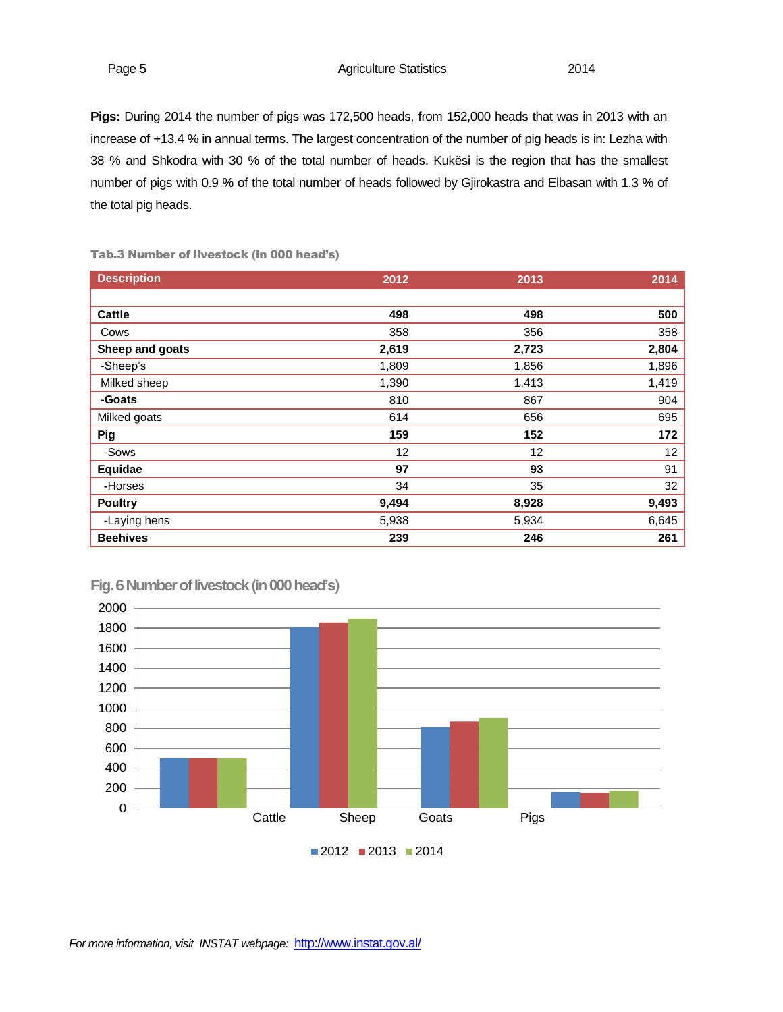Page 5 **Agriculture Statistics** 2014

**Pigs:** During 2014 the number of pigs was 172,500 heads, from 152,000 heads that was in 2013 with an increase of +13.4 % in annual terms. The largest concentration of the number of pig heads is in: Lezha with 38 % and Shkodra with 30 % of the total number of heads. Kukësi is the region that has the smallest number of pigs with 0.9 % of the total number of heads followed by Gjirokastra and Elbasan with 1.3 % of the total pig heads.

| <b>Description</b> | 2012  | 2013  | 2014  |
|--------------------|-------|-------|-------|
|                    |       |       |       |
| <b>Cattle</b>      | 498   | 498   | 500   |
| Cows               | 358   | 356   | 358   |
| Sheep and goats    | 2,619 | 2,723 | 2,804 |
| -Sheep's           | 1,809 | 1,856 | 1,896 |
| Milked sheep       | 1,390 | 1,413 | 1,419 |
| -Goats             | 810   | 867   | 904   |
| Milked goats       | 614   | 656   | 695   |
| Pig                | 159   | 152   | 172   |
| -Sows              | 12    | 12    | 12    |
| Equidae            | 97    | 93    | 91    |
| -Horses            | 34    | 35    | 32    |
| <b>Poultry</b>     | 9,494 | 8,928 | 9,493 |
| -Laying hens       | 5,938 | 5,934 | 6,645 |
| <b>Beehives</b>    | 239   | 246   | 261   |

Tab.3 Number of livestock (in 000 head's)



**Fig. 6 Number of livestock(in 000 head's)**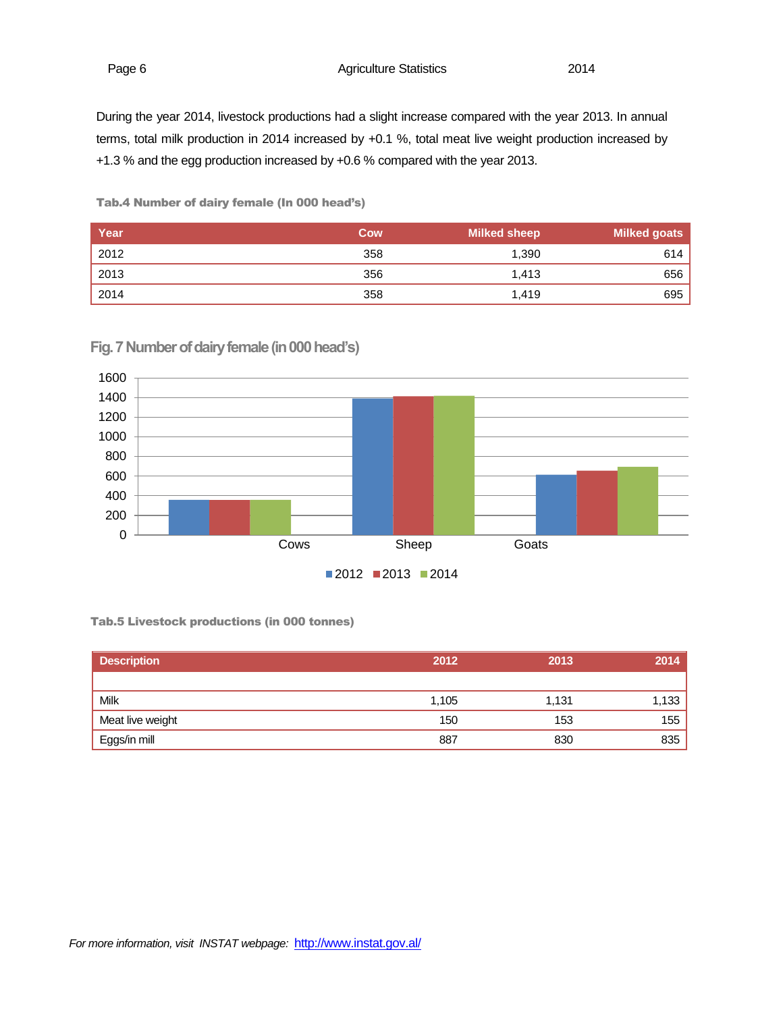Page 6 **Agriculture Statistics** 2014

During the year 2014, livestock productions had a slight increase compared with the year 2013. In annual terms, total milk production in 2014 increased by +0.1 %, total meat live weight production increased by +1.3 % and the egg production increased by +0.6 % compared with the year 2013.

Tab.4 Number of dairy female (In 000 head's)

| Year | Cow | <b>Milked sheep</b> | <b>Milked goats</b> |
|------|-----|---------------------|---------------------|
| 2012 | 358 | 1,390               | 614                 |
| 2013 | 356 | 1.413               | 656                 |
| 2014 | 358 | 1,419               | 695                 |



**Fig. 7 Number of dairy female (in 000 head's)**

Tab.5 Livestock productions (in 000 tonnes)

| <b>Description</b> | 2012  | 2013  | 2014  |
|--------------------|-------|-------|-------|
|                    |       |       |       |
| Milk               | 1,105 | 1,131 | 1,133 |
| Meat live weight   | 150   | 153   | 155   |
| Eggs/in mill       | 887   | 830   | 835   |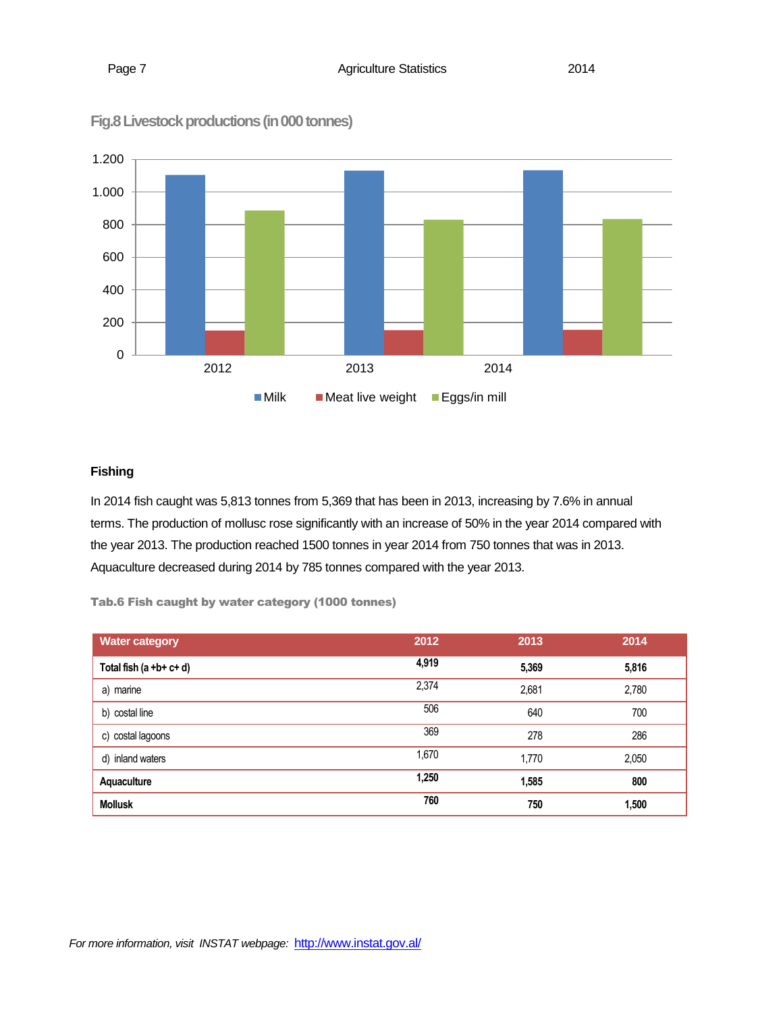

**Fig.8 Livestock productions (in 000 tonnes)**

# **Fishing**

In 2014 fish caught was 5,813 tonnes from 5,369 that has been in 2013, increasing by 7.6% in annual terms. The production of mollusc rose significantly with an increase of 50% in the year 2014 compared with the year 2013. The production reached 1500 tonnes in year 2014 from 750 tonnes that was in 2013. Aquaculture decreased during 2014 by 785 tonnes compared with the year 2013.

Tab.6 Fish caught by water category (1000 tonnes)

| <b>Water category</b>        | 2012  | 2013  | 2014  |
|------------------------------|-------|-------|-------|
| Total fish $(a + b + c + d)$ | 4,919 | 5,369 | 5,816 |
| a) marine                    | 2,374 | 2,681 | 2,780 |
| b) costal line               | 506   | 640   | 700   |
| c) costal lagoons            | 369   | 278   | 286   |
| d) inland waters             | 1,670 | 1,770 | 2,050 |
| Aquaculture                  | 1,250 | 1,585 | 800   |
| <b>Mollusk</b>               | 760   | 750   | 1,500 |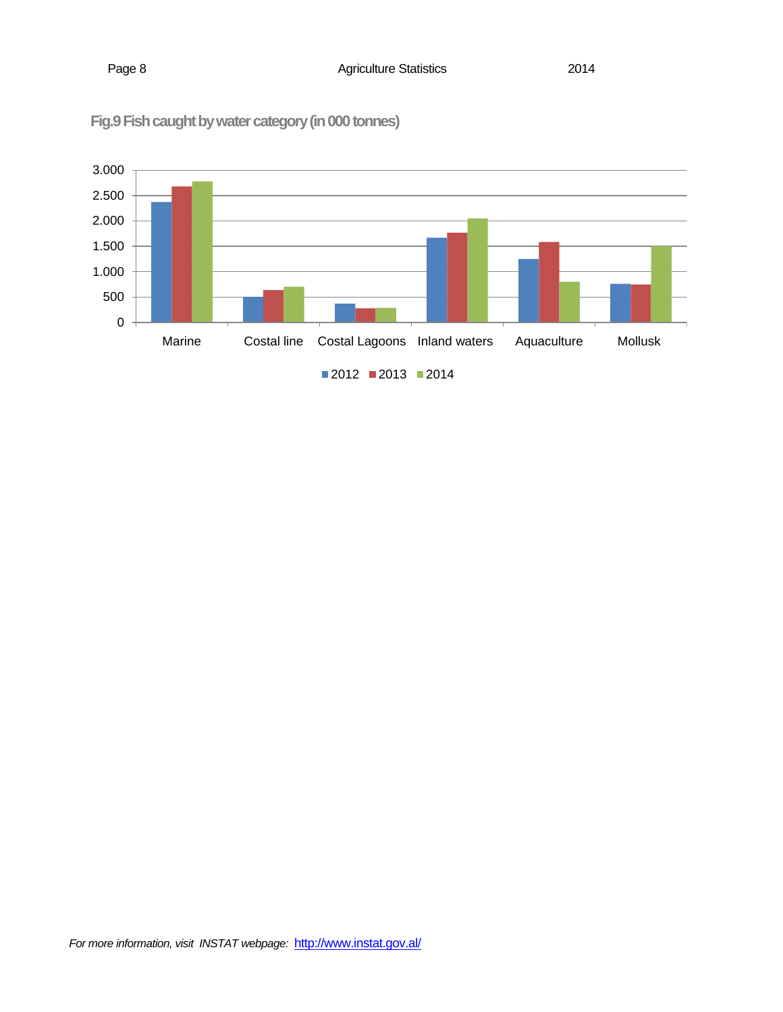

**Fig.9Fish caught by water category (in 000 tonnes)**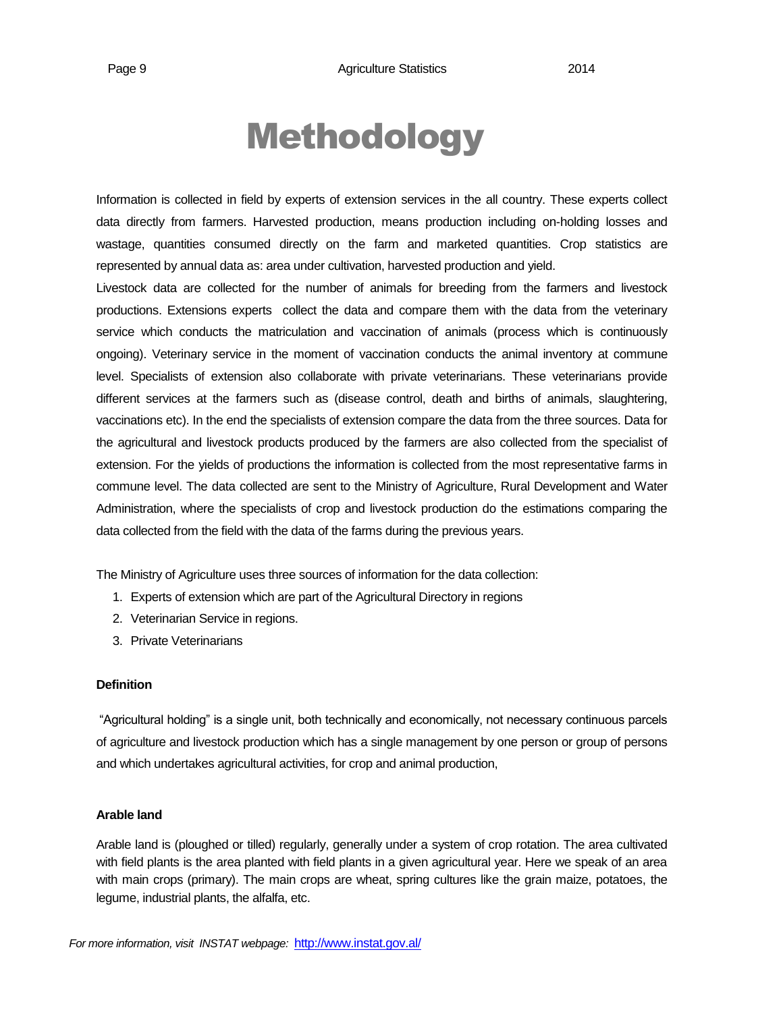# Methodology

Information is collected in field by experts of extension services in the all country. These experts collect data directly from farmers. Harvested production, means production including on-holding losses and wastage, quantities consumed directly on the farm and marketed quantities. Crop statistics are represented by annual data as: area under cultivation, harvested production and yield.

Livestock data are collected for the number of animals for breeding from the farmers and livestock productions. Extensions experts collect the data and compare them with the data from the veterinary service which conducts the matriculation and vaccination of animals (process which is continuously ongoing). Veterinary service in the moment of vaccination conducts the animal inventory at commune level. Specialists of extension also collaborate with private veterinarians. These veterinarians provide different services at the farmers such as (disease control, death and births of animals, slaughtering, vaccinations etc). In the end the specialists of extension compare the data from the three sources. Data for the agricultural and livestock products produced by the farmers are also collected from the specialist of extension. For the yields of productions the information is collected from the most representative farms in commune level. The data collected are sent to the Ministry of Agriculture, Rural Development and Water Administration, where the specialists of crop and livestock production do the estimations comparing the data collected from the field with the data of the farms during the previous years.

The Ministry of Agriculture uses three sources of information for the data collection:

- 1. Experts of extension which are part of the Agricultural Directory in regions
- 2. Veterinarian Service in regions.
- 3. Private Veterinarians

#### **Definition**

"Agricultural holding" is a single unit, both technically and economically, not necessary continuous parcels of agriculture and livestock production which has a single management by one person or group of persons and which undertakes agricultural activities, for crop and animal production,

## **Arable land**

Arable land is (ploughed or tilled) regularly, generally under a system of crop rotation. The area cultivated with field plants is the area planted with field plants in a given agricultural year. Here we speak of an area with main crops (primary). The main crops are wheat, spring cultures like the grain maize, potatoes, the legume, industrial plants, the alfalfa, etc.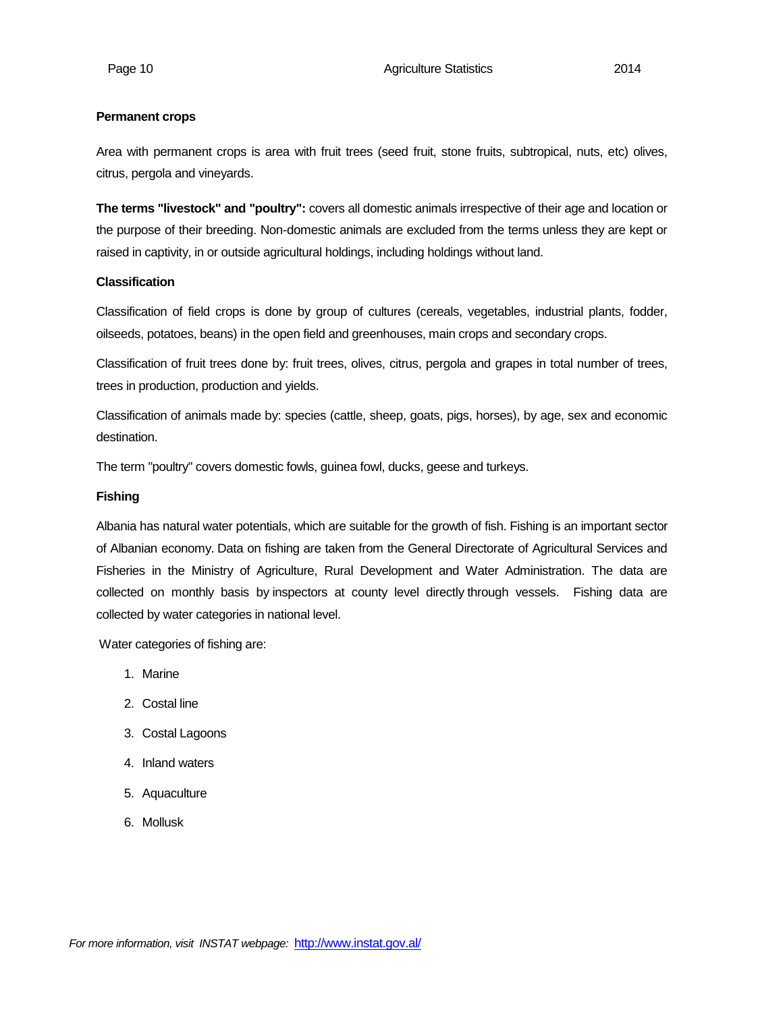#### **Permanent crops**

Area with permanent crops is area with fruit trees (seed fruit, stone fruits, subtropical, nuts, etc) olives, citrus, pergola and vineyards.

**The terms "livestock" and "poultry":** covers all domestic animals irrespective of their age and location or the purpose of their breeding. Non-domestic animals are excluded from the terms unless they are kept or raised in captivity, in or outside agricultural holdings, including holdings without land.

### **Classification**

Classification of field crops is done by group of cultures (cereals, vegetables, industrial plants, fodder, oilseeds, potatoes, beans) in the open field and greenhouses, main crops and secondary crops.

Classification of fruit trees done by: fruit trees, olives, citrus, pergola and grapes in total number of trees, trees in production, production and yields.

Classification of animals made by: species (cattle, sheep, goats, pigs, horses), by age, sex and economic destination.

The term "poultry" covers domestic fowls, guinea fowl, ducks, geese and turkeys.

#### **Fishing**

Albania has natural water potentials, which are suitable for the growth of fish. Fishing is an important sector of Albanian economy. Data on fishing are taken from the General Directorate of Agricultural Services and Fisheries in the Ministry of Agriculture, Rural Development and Water Administration. The data are collected on monthly basis by inspectors at county level directly through vessels. Fishing data are collected by water categories in national level.

Water categories of fishing are:

- 1. Marine
- 2. Costal line
- 3. Costal Lagoons
- 4. Inland waters
- 5. Aquaculture
- 6. Mollusk